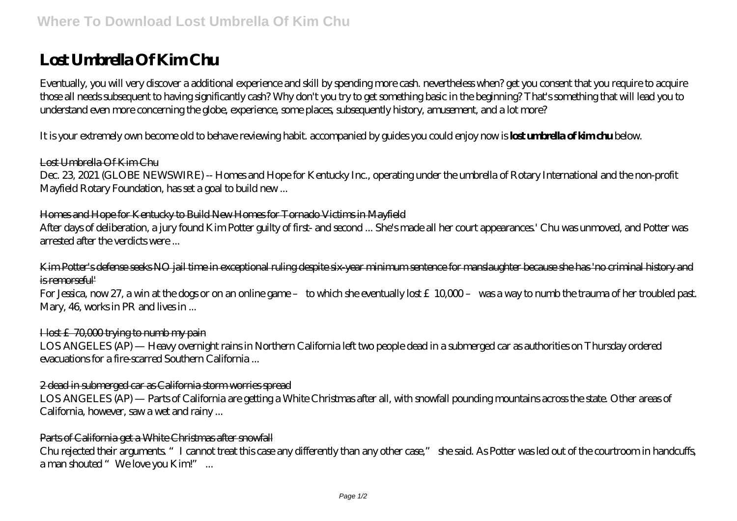# **Lost Umbrella Of Kim Chu**

Eventually, you will very discover a additional experience and skill by spending more cash. nevertheless when? get you consent that you require to acquire those all needs subsequent to having significantly cash? Why don't you try to get something basic in the beginning? That's something that will lead you to understand even more concerning the globe, experience, some places, subsequently history, amusement, and a lot more?

It is your extremely own become old to behave reviewing habit. accompanied by guides you could enjoy now is **lost umbrella of kim chu** below.

## Lost Umbrella Of Kim Chu

Dec. 23, 2021 (GLOBE NEWSWIRE) -- Homes and Hope for Kentucky Inc., operating under the umbrella of Rotary International and the non-profit Mayfield Rotary Foundation, has set a goal to build new ...

### Homes and Hope for Kentucky to Build New Homes for Tornado Victims in Mayfield

After days of deliberation, a jury found Kim Potter guilty of first- and second ... She's made all her court appearances' Chu was unmoved, and Potter was arrested after the verdicts were ...

Kim Potter's defense seeks NO jail time in exceptional ruling despite six-year minimum sentence for manslaughter because she has 'no criminal history and is remorseful'

For Jessica, now 27, a win at the dogs or on an online game – to which she eventually lost £10,000 – was a way to numb the trauma of her troubled past. Mary, 46, works in PR and lives in ...

#### I lost £70,000 trying to numb my pain

LOS ANGELES (AP) — Heavy overnight rains in Northern California left two people dead in a submerged car as authorities on Thursday ordered evacuations for a fire-scarred Southern California ...

#### 2 dead in submerged car as California storm worries spread

LOS ANGELES (AP) — Parts of California are getting a White Christmas after all, with snowfall pounding mountains across the state. Other areas of California, however, saw a wet and rainy ...

#### Parts of California get a White Christmas after snowfall

Chu rejected their arguments. "I cannot treat this case any differently than any other case." she said. As Potter was led out of the courtroom in handcuffs, a man shouted "We love you Kim!" ...